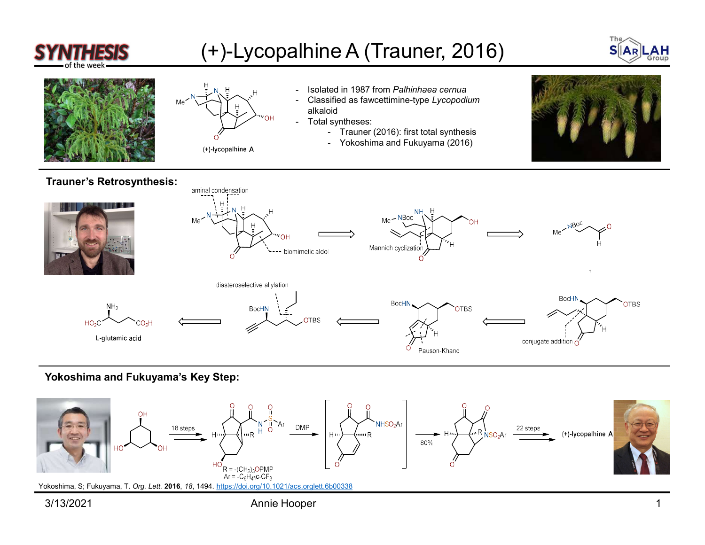